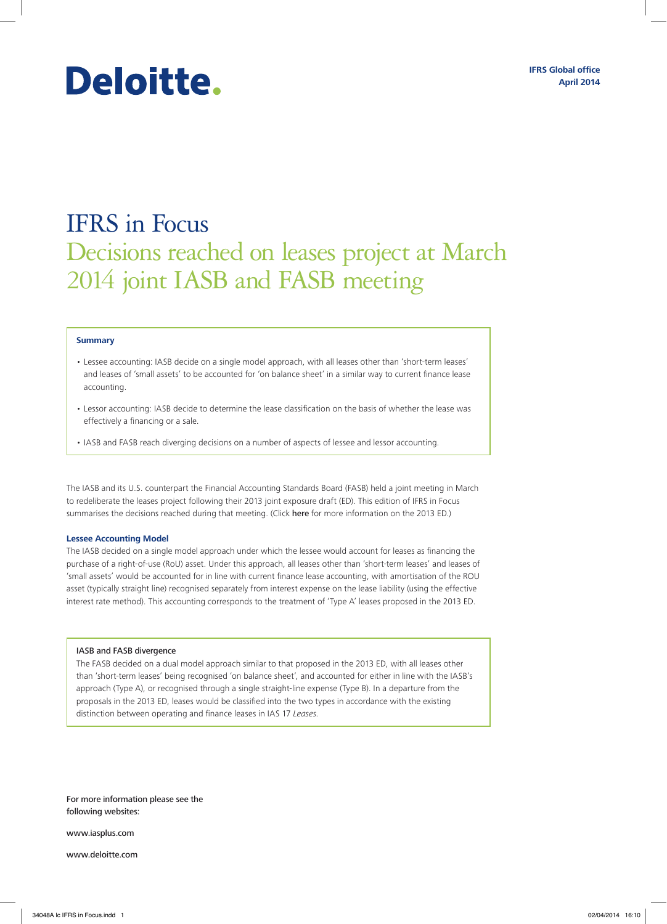# Deloitte.

## IFRS in Focus Decisions reached on leases project at March 2014 joint IASB and FASB meeting

#### **Summary**

- Lessee accounting: IASB decide on a single model approach, with all leases other than 'short-term leases' and leases of 'small assets' to be accounted for 'on balance sheet' in a similar way to current finance lease accounting.
- Lessor accounting: IASB decide to determine the lease classification on the basis of whether the lease was effectively a financing or a sale.
- IASB and FASB reach diverging decisions on a number of aspects of lessee and lessor accounting.

The IASB and its U.S. counterpart the Financial Accounting Standards Board (FASB) held a joint meeting in March to redeliberate the leases project following their 2013 joint exposure draft (ED). This edition of IFRS in Focus summarises the decisions reached during that meeting. (Click [here](http://www.iasplus.com/en/publications/global/ifrs-in-focus/2013/ifrs-in-focus-ed-leases) for more information on the 2013 ED.)

#### **Lessee Accounting Model**

The IASB decided on a single model approach under which the lessee would account for leases as financing the purchase of a right-of-use (RoU) asset. Under this approach, all leases other than 'short-term leases' and leases of 'small assets' would be accounted for in line with current finance lease accounting, with amortisation of the ROU asset (typically straight line) recognised separately from interest expense on the lease liability (using the effective interest rate method). This accounting corresponds to the treatment of 'Type A' leases proposed in the 2013 ED.

#### IASB and FASB divergence

The FASB decided on a dual model approach similar to that proposed in the 2013 ED, with all leases other than 'short-term leases' being recognised 'on balance sheet', and accounted for either in line with the IASB's approach (Type A), or recognised through a single straight-line expense (Type B). In a departure from the proposals in the 2013 ED, leases would be classified into the two types in accordance with the existing distinction between operating and finance leases in IAS 17 *Leases*.

For more information please see the following websites:

www.iasplus.com

www.deloitte.com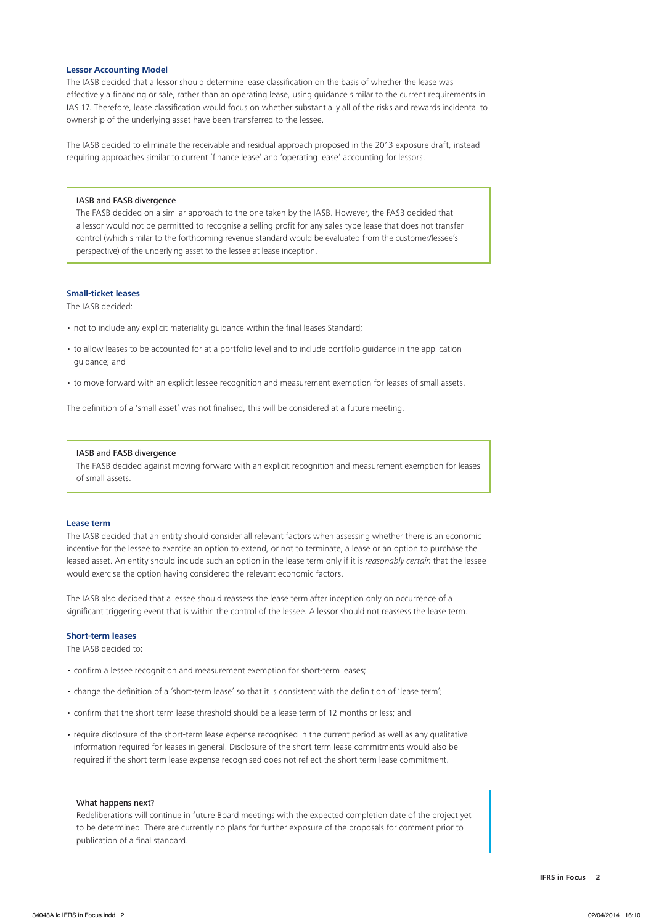#### **Lessor Accounting Model**

The IASB decided that a lessor should determine lease classification on the basis of whether the lease was effectively a financing or sale, rather than an operating lease, using guidance similar to the current requirements in IAS 17. Therefore, lease classification would focus on whether substantially all of the risks and rewards incidental to ownership of the underlying asset have been transferred to the lessee.

The IASB decided to eliminate the receivable and residual approach proposed in the 2013 exposure draft, instead requiring approaches similar to current 'finance lease' and 'operating lease' accounting for lessors.

#### IASB and FASB divergence

The FASB decided on a similar approach to the one taken by the IASB. However, the FASB decided that a lessor would not be permitted to recognise a selling profit for any sales type lease that does not transfer control (which similar to the forthcoming revenue standard would be evaluated from the customer/lessee's perspective) of the underlying asset to the lessee at lease inception.

#### **Small‑ticket leases**

The IASB decided:

- not to include any explicit materiality guidance within the final leases Standard;
- to allow leases to be accounted for at a portfolio level and to include portfolio guidance in the application guidance; and
- to move forward with an explicit lessee recognition and measurement exemption for leases of small assets.

The definition of a 'small asset' was not finalised, this will be considered at a future meeting.

#### IASB and FASB divergence

The FASB decided against moving forward with an explicit recognition and measurement exemption for leases of small assets.

#### **Lease term**

The IASB decided that an entity should consider all relevant factors when assessing whether there is an economic incentive for the lessee to exercise an option to extend, or not to terminate, a lease or an option to purchase the leased asset. An entity should include such an option in the lease term only if it is *reasonably certain* that the lessee would exercise the option having considered the relevant economic factors.

The IASB also decided that a lessee should reassess the lease term after inception only on occurrence of a significant triggering event that is within the control of the lessee. A lessor should not reassess the lease term.

### **Short‑term leases**

The IASB decided to:

- confirm a lessee recognition and measurement exemption for short-term leases;
- change the definition of a 'short-term lease' so that it is consistent with the definition of 'lease term';
- confirm that the short-term lease threshold should be a lease term of 12 months or less; and
- require disclosure of the short-term lease expense recognised in the current period as well as any qualitative information required for leases in general. Disclosure of the short-term lease commitments would also be required if the short-term lease expense recognised does not reflect the short-term lease commitment.

#### What happens next?

Redeliberations will continue in future Board meetings with the expected completion date of the project yet to be determined. There are currently no plans for further exposure of the proposals for comment prior to publication of a final standard.